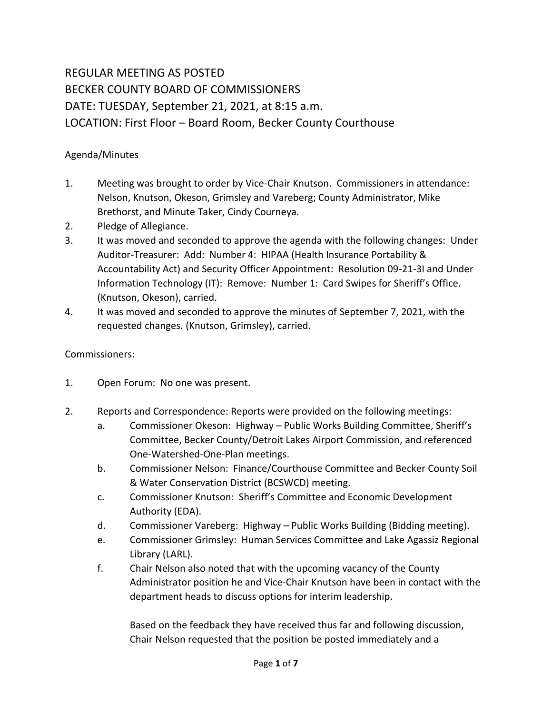## REGULAR MEETING AS POSTED BECKER COUNTY BOARD OF COMMISSIONERS DATE: TUESDAY, September 21, 2021, at 8:15 a.m. LOCATION: First Floor – Board Room, Becker County Courthouse

## Agenda/Minutes

- 1. Meeting was brought to order by Vice-Chair Knutson. Commissioners in attendance: Nelson, Knutson, Okeson, Grimsley and Vareberg; County Administrator, Mike Brethorst, and Minute Taker, Cindy Courneya.
- 2. Pledge of Allegiance.
- 3. It was moved and seconded to approve the agenda with the following changes: Under Auditor-Treasurer: Add: Number 4: HIPAA (Health Insurance Portability & Accountability Act) and Security Officer Appointment: Resolution 09-21-3I and Under Information Technology (IT): Remove: Number 1: Card Swipes for Sheriff's Office. (Knutson, Okeson), carried.
- 4. It was moved and seconded to approve the minutes of September 7, 2021, with the requested changes. (Knutson, Grimsley), carried.

## Commissioners:

- 1. Open Forum: No one was present.
- 2. Reports and Correspondence: Reports were provided on the following meetings:
	- a. Commissioner Okeson: Highway Public Works Building Committee, Sheriff's Committee, Becker County/Detroit Lakes Airport Commission, and referenced One-Watershed-One-Plan meetings.
	- b. Commissioner Nelson: Finance/Courthouse Committee and Becker County Soil & Water Conservation District (BCSWCD) meeting.
	- c. Commissioner Knutson: Sheriff's Committee and Economic Development Authority (EDA).
	- d. Commissioner Vareberg: Highway Public Works Building (Bidding meeting).
	- e. Commissioner Grimsley: Human Services Committee and Lake Agassiz Regional Library (LARL).
	- f. Chair Nelson also noted that with the upcoming vacancy of the County Administrator position he and Vice-Chair Knutson have been in contact with the department heads to discuss options for interim leadership.

Based on the feedback they have received thus far and following discussion, Chair Nelson requested that the position be posted immediately and a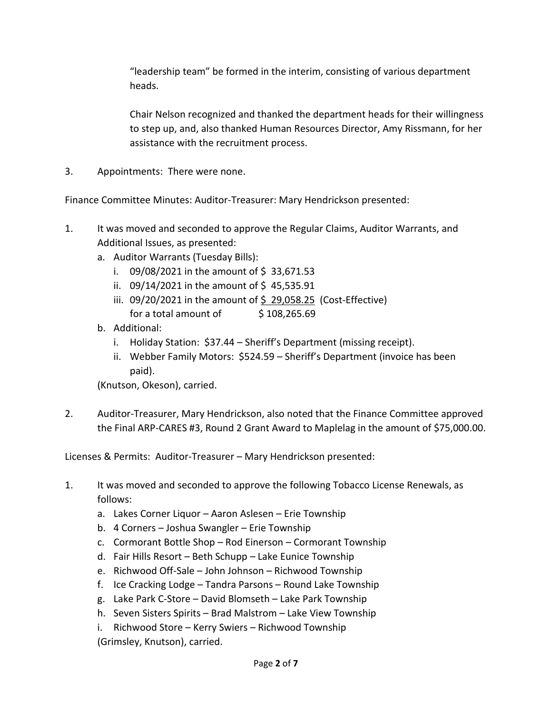"leadership team" be formed in the interim, consisting of various department heads.

Chair Nelson recognized and thanked the department heads for their willingness to step up, and, also thanked Human Resources Director, Amy Rissmann, for her assistance with the recruitment process.

3. Appointments: There were none.

Finance Committee Minutes: Auditor-Treasurer: Mary Hendrickson presented:

- 1. It was moved and seconded to approve the Regular Claims, Auditor Warrants, and Additional Issues, as presented:
	- a. Auditor Warrants (Tuesday Bills):
		- i.  $09/08/2021$  in the amount of \$33,671.53
		- ii.  $09/14/2021$  in the amount of \$45,535.91
		- iii.  $09/20/2021$  in the amount of \$ 29,058.25 (Cost-Effective) for a total amount of  $\frac{1}{2}$  108,265.69
	- b. Additional:
		- i. Holiday Station: \$37.44 Sheriff's Department (missing receipt).
		- ii. Webber Family Motors: \$524.59 Sheriff's Department (invoice has been paid).

(Knutson, Okeson), carried.

2. Auditor-Treasurer, Mary Hendrickson, also noted that the Finance Committee approved the Final ARP-CARES #3, Round 2 Grant Award to Maplelag in the amount of \$75,000.00.

Licenses & Permits: Auditor-Treasurer – Mary Hendrickson presented:

- 1. It was moved and seconded to approve the following Tobacco License Renewals, as follows:
	- a. Lakes Corner Liquor Aaron Aslesen Erie Township
	- b. 4 Corners Joshua Swangler Erie Township
	- c. Cormorant Bottle Shop Rod Einerson Cormorant Township
	- d. Fair Hills Resort Beth Schupp Lake Eunice Township
	- e. Richwood Off-Sale John Johnson Richwood Township
	- f. Ice Cracking Lodge Tandra Parsons Round Lake Township
	- g. Lake Park C-Store David Blomseth Lake Park Township
	- h. Seven Sisters Spirits Brad Malstrom Lake View Township
	- i. Richwood Store Kerry Swiers Richwood Township (Grimsley, Knutson), carried.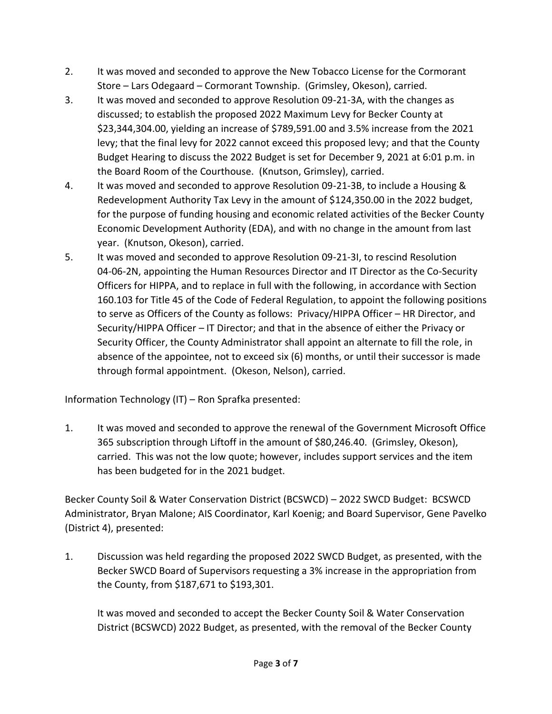- 2. It was moved and seconded to approve the New Tobacco License for the Cormorant Store – Lars Odegaard – Cormorant Township. (Grimsley, Okeson), carried.
- 3. It was moved and seconded to approve Resolution 09-21-3A, with the changes as discussed; to establish the proposed 2022 Maximum Levy for Becker County at \$23,344,304.00, yielding an increase of \$789,591.00 and 3.5% increase from the 2021 levy; that the final levy for 2022 cannot exceed this proposed levy; and that the County Budget Hearing to discuss the 2022 Budget is set for December 9, 2021 at 6:01 p.m. in the Board Room of the Courthouse. (Knutson, Grimsley), carried.
- 4. It was moved and seconded to approve Resolution 09-21-3B, to include a Housing & Redevelopment Authority Tax Levy in the amount of \$124,350.00 in the 2022 budget, for the purpose of funding housing and economic related activities of the Becker County Economic Development Authority (EDA), and with no change in the amount from last year. (Knutson, Okeson), carried.
- 5. It was moved and seconded to approve Resolution 09-21-3I, to rescind Resolution 04-06-2N, appointing the Human Resources Director and IT Director as the Co-Security Officers for HIPPA, and to replace in full with the following, in accordance with Section 160.103 for Title 45 of the Code of Federal Regulation, to appoint the following positions to serve as Officers of the County as follows: Privacy/HIPPA Officer – HR Director, and Security/HIPPA Officer – IT Director; and that in the absence of either the Privacy or Security Officer, the County Administrator shall appoint an alternate to fill the role, in absence of the appointee, not to exceed six (6) months, or until their successor is made through formal appointment. (Okeson, Nelson), carried.

Information Technology (IT) – Ron Sprafka presented:

1. It was moved and seconded to approve the renewal of the Government Microsoft Office 365 subscription through Liftoff in the amount of \$80,246.40. (Grimsley, Okeson), carried. This was not the low quote; however, includes support services and the item has been budgeted for in the 2021 budget.

Becker County Soil & Water Conservation District (BCSWCD) – 2022 SWCD Budget: BCSWCD Administrator, Bryan Malone; AIS Coordinator, Karl Koenig; and Board Supervisor, Gene Pavelko (District 4), presented:

1. Discussion was held regarding the proposed 2022 SWCD Budget, as presented, with the Becker SWCD Board of Supervisors requesting a 3% increase in the appropriation from the County, from \$187,671 to \$193,301.

It was moved and seconded to accept the Becker County Soil & Water Conservation District (BCSWCD) 2022 Budget, as presented, with the removal of the Becker County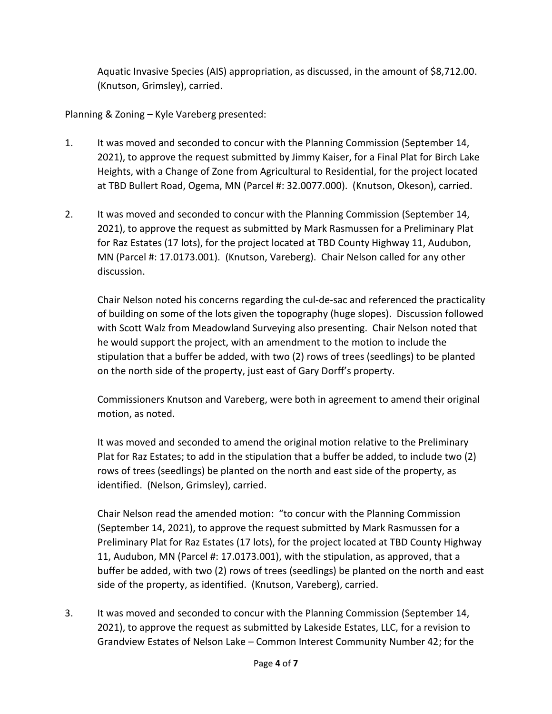Aquatic Invasive Species (AIS) appropriation, as discussed, in the amount of \$8,712.00. (Knutson, Grimsley), carried.

Planning & Zoning – Kyle Vareberg presented:

- 1. It was moved and seconded to concur with the Planning Commission (September 14, 2021), to approve the request submitted by Jimmy Kaiser, for a Final Plat for Birch Lake Heights, with a Change of Zone from Agricultural to Residential, for the project located at TBD Bullert Road, Ogema, MN (Parcel #: 32.0077.000). (Knutson, Okeson), carried.
- 2. It was moved and seconded to concur with the Planning Commission (September 14, 2021), to approve the request as submitted by Mark Rasmussen for a Preliminary Plat for Raz Estates (17 lots), for the project located at TBD County Highway 11, Audubon, MN (Parcel #: 17.0173.001). (Knutson, Vareberg). Chair Nelson called for any other discussion.

Chair Nelson noted his concerns regarding the cul-de-sac and referenced the practicality of building on some of the lots given the topography (huge slopes). Discussion followed with Scott Walz from Meadowland Surveying also presenting. Chair Nelson noted that he would support the project, with an amendment to the motion to include the stipulation that a buffer be added, with two (2) rows of trees (seedlings) to be planted on the north side of the property, just east of Gary Dorff's property.

Commissioners Knutson and Vareberg, were both in agreement to amend their original motion, as noted.

It was moved and seconded to amend the original motion relative to the Preliminary Plat for Raz Estates; to add in the stipulation that a buffer be added, to include two (2) rows of trees (seedlings) be planted on the north and east side of the property, as identified. (Nelson, Grimsley), carried.

Chair Nelson read the amended motion: "to concur with the Planning Commission (September 14, 2021), to approve the request submitted by Mark Rasmussen for a Preliminary Plat for Raz Estates (17 lots), for the project located at TBD County Highway 11, Audubon, MN (Parcel #: 17.0173.001), with the stipulation, as approved, that a buffer be added, with two (2) rows of trees (seedlings) be planted on the north and east side of the property, as identified.(Knutson, Vareberg), carried.

3. It was moved and seconded to concur with the Planning Commission (September 14, 2021), to approve the request as submitted by Lakeside Estates, LLC, for a revision to Grandview Estates of Nelson Lake – Common Interest Community Number 42; for the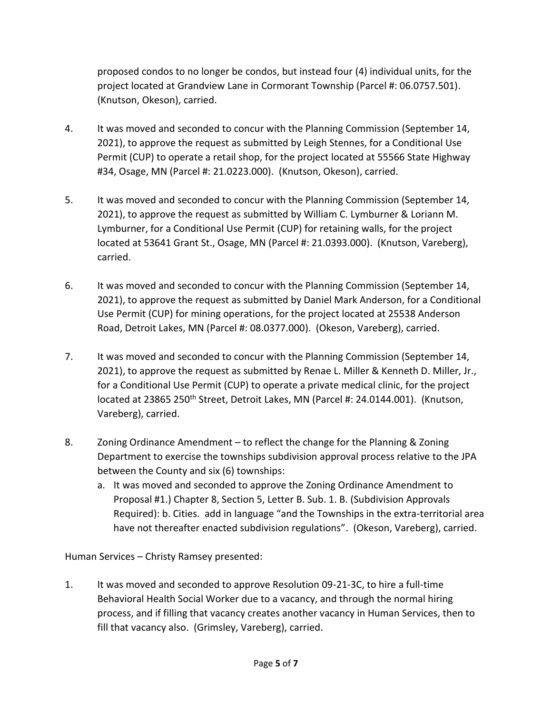proposed condos to no longer be condos, but instead four (4) individual units, for the project located at Grandview Lane in Cormorant Township (Parcel #: 06.0757.501). (Knutson, Okeson), carried.

- 4. It was moved and seconded to concur with the Planning Commission (September 14, 2021), to approve the request as submitted by Leigh Stennes, for a Conditional Use Permit (CUP) to operate a retail shop, for the project located at 55566 State Highway #34, Osage, MN (Parcel #: 21.0223.000). (Knutson, Okeson), carried.
- 5. It was moved and seconded to concur with the Planning Commission (September 14, 2021), to approve the request as submitted by William C. Lymburner & Loriann M. Lymburner, for a Conditional Use Permit (CUP) for retaining walls, for the project located at 53641 Grant St., Osage, MN (Parcel #: 21.0393.000). (Knutson, Vareberg), carried.
- 6. It was moved and seconded to concur with the Planning Commission (September 14, 2021), to approve the request as submitted by Daniel Mark Anderson, for a Conditional Use Permit (CUP) for mining operations, for the project located at 25538 Anderson Road, Detroit Lakes, MN (Parcel #: 08.0377.000). (Okeson, Vareberg), carried.
- 7. It was moved and seconded to concur with the Planning Commission (September 14, 2021), to approve the request as submitted by Renae L. Miller & Kenneth D. Miller, Jr., for a Conditional Use Permit (CUP) to operate a private medical clinic, for the project located at 23865 250<sup>th</sup> Street, Detroit Lakes, MN (Parcel #: 24.0144.001). (Knutson, Vareberg), carried.
- 8. Zoning Ordinance Amendment to reflect the change for the Planning & Zoning Department to exercise the townships subdivision approval process relative to the JPA between the County and six (6) townships:
	- a. It was moved and seconded to approve the Zoning Ordinance Amendment to Proposal #1.) Chapter 8, Section 5, Letter B. Sub. 1. B. (Subdivision Approvals Required): b. Cities. add in language "and the Townships in the extra-territorial area have not thereafter enacted subdivision regulations". (Okeson, Vareberg), carried.

Human Services – Christy Ramsey presented:

1. It was moved and seconded to approve Resolution 09-21-3C, to hire a full-time Behavioral Health Social Worker due to a vacancy, and through the normal hiring process, and if filling that vacancy creates another vacancy in Human Services, then to fill that vacancy also. (Grimsley, Vareberg), carried.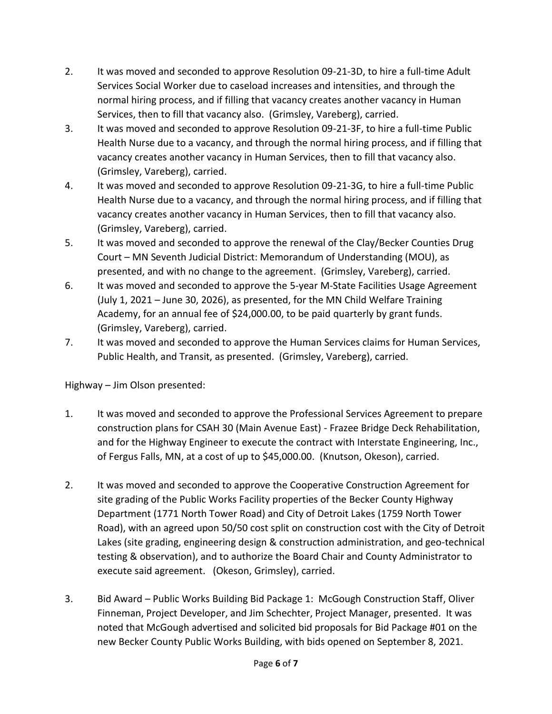- 2. It was moved and seconded to approve Resolution 09-21-3D, to hire a full-time Adult Services Social Worker due to caseload increases and intensities, and through the normal hiring process, and if filling that vacancy creates another vacancy in Human Services, then to fill that vacancy also. (Grimsley, Vareberg), carried.
- 3. It was moved and seconded to approve Resolution 09-21-3F, to hire a full-time Public Health Nurse due to a vacancy, and through the normal hiring process, and if filling that vacancy creates another vacancy in Human Services, then to fill that vacancy also. (Grimsley, Vareberg), carried.
- 4. It was moved and seconded to approve Resolution 09-21-3G, to hire a full-time Public Health Nurse due to a vacancy, and through the normal hiring process, and if filling that vacancy creates another vacancy in Human Services, then to fill that vacancy also. (Grimsley, Vareberg), carried.
- 5. It was moved and seconded to approve the renewal of the Clay/Becker Counties Drug Court – MN Seventh Judicial District: Memorandum of Understanding (MOU), as presented, and with no change to the agreement. (Grimsley, Vareberg), carried.
- 6. It was moved and seconded to approve the 5-year M-State Facilities Usage Agreement (July 1, 2021 – June 30, 2026), as presented, for the MN Child Welfare Training Academy, for an annual fee of \$24,000.00, to be paid quarterly by grant funds. (Grimsley, Vareberg), carried.
- 7. It was moved and seconded to approve the Human Services claims for Human Services, Public Health, and Transit, as presented. (Grimsley, Vareberg), carried.

Highway – Jim Olson presented:

- 1. It was moved and seconded to approve the Professional Services Agreement to prepare construction plans for CSAH 30 (Main Avenue East) - Frazee Bridge Deck Rehabilitation, and for the Highway Engineer to execute the contract with Interstate Engineering, Inc., of Fergus Falls, MN, at a cost of up to \$45,000.00. (Knutson, Okeson), carried.
- 2. It was moved and seconded to approve the Cooperative Construction Agreement for site grading of the Public Works Facility properties of the Becker County Highway Department (1771 North Tower Road) and City of Detroit Lakes (1759 North Tower Road), with an agreed upon 50/50 cost split on construction cost with the City of Detroit Lakes (site grading, engineering design & construction administration, and geo-technical testing & observation), and to authorize the Board Chair and County Administrator to execute said agreement. (Okeson, Grimsley), carried.
- 3. Bid Award Public Works Building Bid Package 1: McGough Construction Staff, Oliver Finneman, Project Developer, and Jim Schechter, Project Manager, presented. It was noted that McGough advertised and solicited bid proposals for Bid Package #01 on the new Becker County Public Works Building, with bids opened on September 8, 2021.